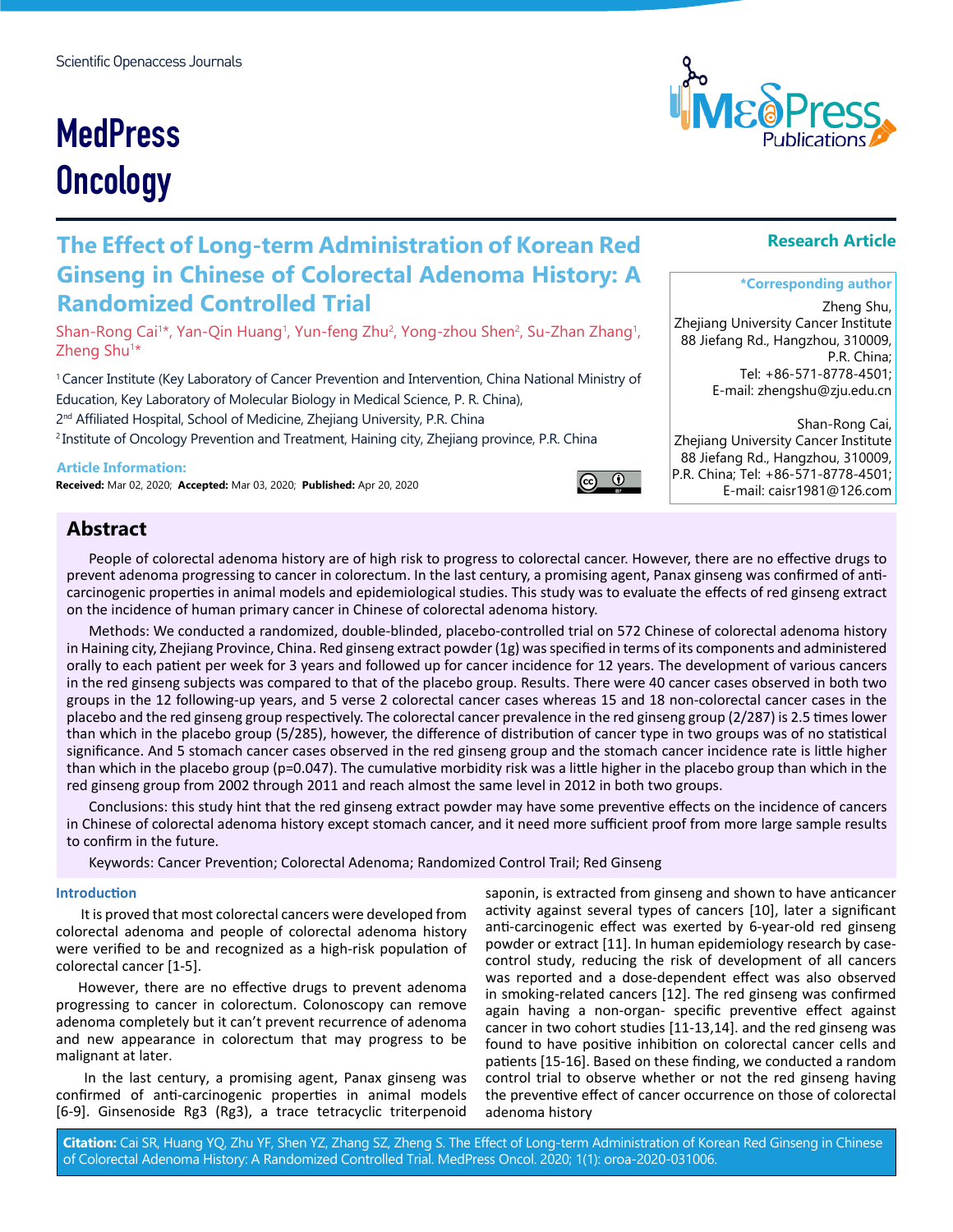# **MedPress Oncology**

# **The Effect of Long-term Administration of Korean Red Ginseng in Chinese of Colorectal Adenoma History: A Randomized Controlled Trial**

Shan-Rong Cai'\*, Yan-Qin Huang', Yun-feng Zhu<sup>2</sup>, Yong-zhou Shen<sup>2</sup>, Su-Zhan Zhang', Zheng Shu<sup>1\*</sup>

1 Cancer Institute (Key Laboratory of Cancer Prevention and Intervention, China National Ministry of Education, Key Laboratory of Molecular Biology in Medical Science, P. R. China),

2<sup>nd</sup> Affiliated Hospital, School of Medicine, Zhejiang University, P.R. China

<sup>2</sup> Institute of Oncology Prevention and Treatment, Haining city, Zhejiang province, P.R. China

#### **Article Information:**

**Received:** Mar 02, 2020; **Accepted:** Mar 03, 2020; **Published:** Apr 20, 2020

# **Abstract**

People of colorectal adenoma history are of high risk to progress to colorectal cancer. However, there are no effective drugs to prevent adenoma progressing to cancer in colorectum. In the last century, a promising agent, Panax ginseng was confirmed of anticarcinogenic properties in animal models and epidemiological studies. This study was to evaluate the effects of red ginseng extract on the incidence of human primary cancer in Chinese of colorectal adenoma history.

Methods: We conducted a randomized, double-blinded, placebo-controlled trial on 572 Chinese of colorectal adenoma history in Haining city, Zhejiang Province, China. Red ginseng extract powder (1g) was specified in terms of its components and administered orally to each patient per week for 3 years and followed up for cancer incidence for 12 years. The development of various cancers in the red ginseng subjects was compared to that of the placebo group. Results. There were 40 cancer cases observed in both two groups in the 12 following-up years, and 5 verse 2 colorectal cancer cases whereas 15 and 18 non-colorectal cancer cases in the placebo and the red ginseng group respectively. The colorectal cancer prevalence in the red ginseng group (2/287) is 2.5 times lower than which in the placebo group (5/285), however, the difference of distribution of cancer type in two groups was of no statistical significance. And 5 stomach cancer cases observed in the red ginseng group and the stomach cancer incidence rate is little higher than which in the placebo group (p=0.047). The cumulative morbidity risk was a little higher in the placebo group than which in the red ginseng group from 2002 through 2011 and reach almost the same level in 2012 in both two groups.

Conclusions: this study hint that the red ginseng extract powder may have some preventive effects on the incidence of cancers in Chinese of colorectal adenoma history except stomach cancer, and it need more sufficient proof from more large sample results to confirm in the future.

Keywords: Cancer Prevention; Colorectal Adenoma; Randomized Control Trail; Red Ginseng

#### **Introduction**

 It is proved that most colorectal cancers were developed from colorectal adenoma and people of colorectal adenoma history were verified to be and recognized as a high-risk population of colorectal cancer [1-5].

However, there are no effective drugs to prevent adenoma progressing to cancer in colorectum. Colonoscopy can remove adenoma completely but it can't prevent recurrence of adenoma and new appearance in colorectum that may progress to be malignant at later.

 In the last century, a promising agent, Panax ginseng was confirmed of anti-carcinogenic properties in animal models [6-9]. Ginsenoside Rg3 (Rg3), a trace tetracyclic triterpenoid

saponin, is extracted from ginseng and shown to have anticancer activity against several types of cancers [10], later a significant anti-carcinogenic effect was exerted by 6-year-old red ginseng powder or extract [11]. In human epidemiology research by casecontrol study, reducing the risk of development of all cancers was reported and a dose-dependent effect was also observed in smoking-related cancers [12]. The red ginseng was confirmed again having a non-organ- specific preventive effect against cancer in two cohort studies [11-13,14]. and the red ginseng was found to have positive inhibition on colorectal cancer cells and patients [15-16]. Based on these finding, we conducted a random control trial to observe whether or not the red ginseng having the preventive effect of cancer occurrence on those of colorectal adenoma history

**Research Article**

Zheng Shu, Zhejiang University Cancer Institute 88 Jiefang Rd., Hangzhou, 310009, P.R. China; Tel: +86-571-8778-4501; E-mail: zhengshu@zju.edu.cn

**\*Corresponding author**

Shan-Rong Cai, Zhejiang University Cancer Institute 88 Jiefang Rd., Hangzhou, 310009, P.R. China; Tel: +86-571-8778-4501; E-mail: caisr1981@126.com

**Citation:** Cai SR, Huang YQ, Zhu YF, Shen YZ, Zhang SZ, Zheng S. The Effect of Long-term Administration of Korean Red Ginseng in Chinese of Colorectal Adenoma History: A Randomized Controlled Trial. MedPress Oncol. 2020; 1(1): oroa-2020-031006.



# $\odot$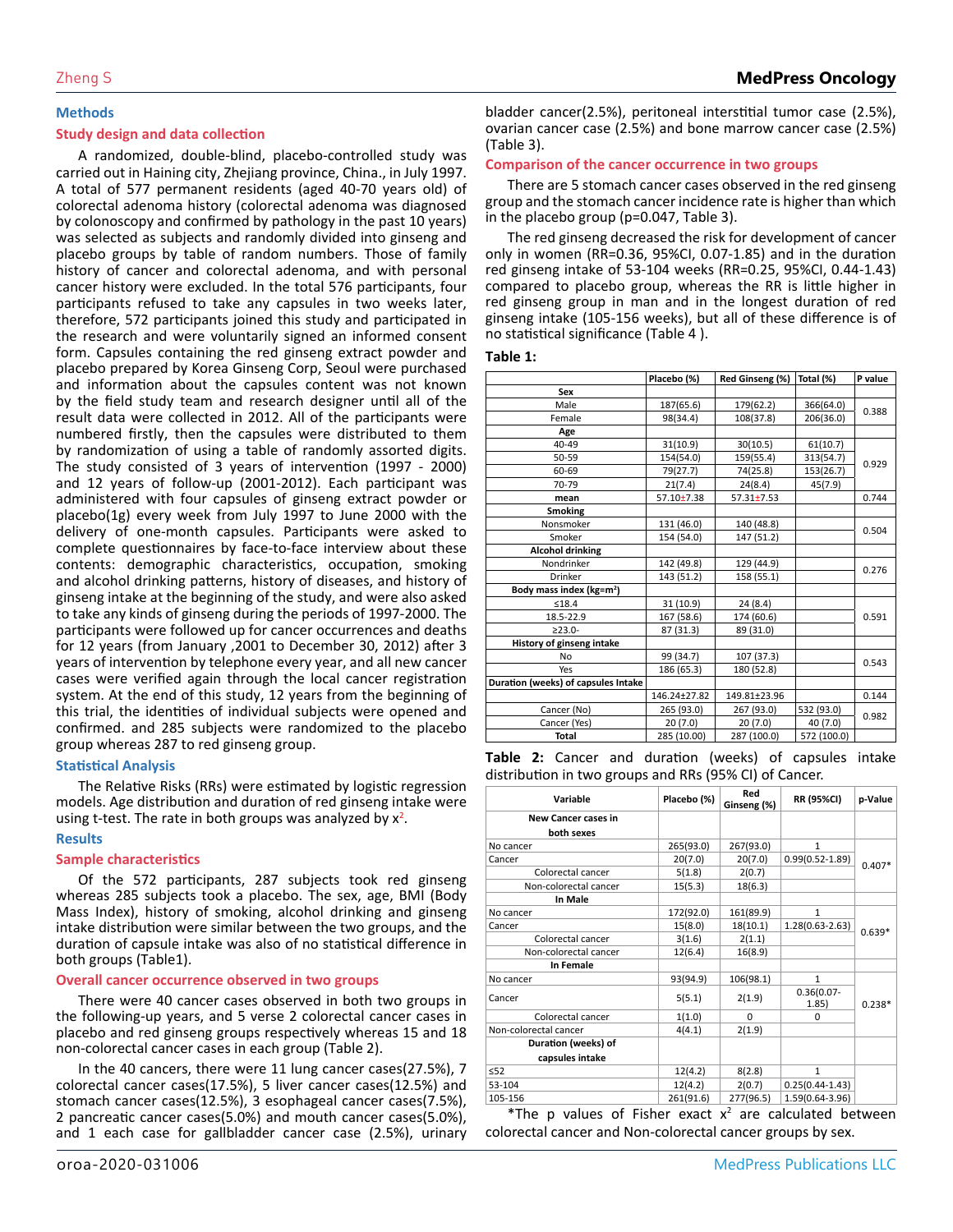#### **Methods**

#### **Study design and data collection**

A randomized, double-blind, placebo-controlled study was carried out in Haining city, Zhejiang province, China., in July 1997. A total of 577 permanent residents (aged 40-70 years old) of colorectal adenoma history (colorectal adenoma was diagnosed by colonoscopy and confirmed by pathology in the past 10 years) was selected as subjects and randomly divided into ginseng and placebo groups by table of random numbers. Those of family history of cancer and colorectal adenoma, and with personal cancer history were excluded. In the total 576 participants, four participants refused to take any capsules in two weeks later, therefore, 572 participants joined this study and participated in the research and were voluntarily signed an informed consent form. Capsules containing the red ginseng extract powder and placebo prepared by Korea Ginseng Corp, Seoul were purchased and information about the capsules content was not known by the field study team and research designer until all of the result data were collected in 2012. All of the participants were numbered firstly, then the capsules were distributed to them by randomization of using a table of randomly assorted digits. The study consisted of 3 years of intervention (1997 - 2000) and 12 years of follow-up (2001-2012). Each participant was administered with four capsules of ginseng extract powder or placebo(1g) every week from July 1997 to June 2000 with the delivery of one-month capsules. Participants were asked to complete questionnaires by face-to-face interview about these contents: demographic characteristics, occupation, smoking and alcohol drinking patterns, history of diseases, and history of ginseng intake at the beginning of the study, and were also asked to take any kinds of ginseng during the periods of 1997-2000. The participants were followed up for cancer occurrences and deaths for 12 years (from January ,2001 to December 30, 2012) after 3 years of intervention by telephone every year, and all new cancer cases were verified again through the local cancer registration system. At the end of this study, 12 years from the beginning of this trial, the identities of individual subjects were opened and confirmed. and 285 subjects were randomized to the placebo group whereas 287 to red ginseng group.

#### **Statistical Analysis**

The Relative Risks (RRs) were estimated by logistic regression models. Age distribution and duration of red ginseng intake were using t-test. The rate in both groups was analyzed by  $x^2$ .

#### **Results**

#### **Sample characteristics**

Of the 572 participants, 287 subjects took red ginseng whereas 285 subjects took a placebo. The sex, age, BMI (Body Mass Index), history of smoking, alcohol drinking and ginseng intake distribution were similar between the two groups, and the duration of capsule intake was also of no statistical difference in both groups (Table1).

#### **Overall cancer occurrence observed in two groups**

There were 40 cancer cases observed in both two groups in the following-up years, and 5 verse 2 colorectal cancer cases in placebo and red ginseng groups respectively whereas 15 and 18 non-colorectal cancer cases in each group (Table 2).

In the 40 cancers, there were 11 lung cancer cases(27.5%), 7 colorectal cancer cases(17.5%), 5 liver cancer cases(12.5%) and stomach cancer cases(12.5%), 3 esophageal cancer cases(7.5%), 2 pancreatic cancer cases(5.0%) and mouth cancer cases(5.0%), and 1 each case for gallbladder cancer case (2.5%), urinary bladder cancer(2.5%), peritoneal interstitial tumor case (2.5%), ovarian cancer case (2.5%) and bone marrow cancer case (2.5%) (Table 3).

#### **Comparison of the cancer occurrence in two groups**

There are 5 stomach cancer cases observed in the red ginseng group and the stomach cancer incidence rate is higher than which in the placebo group (p=0.047, Table 3).

The red ginseng decreased the risk for development of cancer only in women (RR=0.36, 95%CI, 0.07-1.85) and in the duration red ginseng intake of 53-104 weeks (RR=0.25, 95%CI, 0.44-1.43) compared to placebo group, whereas the RR is little higher in red ginseng group in man and in the longest duration of red ginseng intake (105-156 weeks), but all of these difference is of no statistical significance (Table 4 ).

#### **Table 1:**

|                                      | Placebo (%)    | Red Ginseng (%)  | Total (%)   | P value |  |
|--------------------------------------|----------------|------------------|-------------|---------|--|
| Sex                                  |                |                  |             |         |  |
| Male                                 | 187(65.6)      | 179(62.2)        | 366(64.0)   |         |  |
| Female                               | 98(34.4)       | 108(37.8)        | 206(36.0)   | 0.388   |  |
| Age                                  |                |                  |             |         |  |
| $40 - 49$                            | 31(10.9)       | 30(10.5)         | 61(10.7)    |         |  |
| 50-59                                | 154(54.0)      | 159(55.4)        | 313(54.7)   |         |  |
| 60-69                                | 79(27.7)       | 74(25.8)         | 153(26.7)   | 0.929   |  |
| 70-79                                | 21(7.4)        | 24(8.4)          | 45(7.9)     |         |  |
| mean                                 | $57.10 + 7.38$ | $57.31 \pm 7.53$ |             | 0.744   |  |
| <b>Smoking</b>                       |                |                  |             |         |  |
| Nonsmoker                            | 131 (46.0)     | 140 (48.8)       |             | 0.504   |  |
| Smoker                               | 154 (54.0)     | 147 (51.2)       |             |         |  |
| <b>Alcohol drinking</b>              |                |                  |             |         |  |
| Nondrinker                           | 142 (49.8)     | 129 (44.9)       |             | 0.276   |  |
| Drinker                              | 143 (51.2)     | 158 (55.1)       |             |         |  |
| Body mass index (kg=m <sup>2</sup> ) |                |                  |             |         |  |
| ≤18.4                                | 31 (10.9)      | 24 (8.4)         |             |         |  |
| 18.5-22.9                            | 167 (58.6)     | 174 (60.6)       |             | 0.591   |  |
| $\geq$ 23.0-                         | 87 (31.3)      | 89 (31.0)        |             |         |  |
| History of ginseng intake            |                |                  |             |         |  |
| No                                   | 99 (34.7)      | 107 (37.3)       |             | 0.543   |  |
| Yes                                  | 186 (65.3)     | 180 (52.8)       |             |         |  |
| Duration (weeks) of capsules Intake  |                |                  |             |         |  |
|                                      | 146.24±27.82   | 149.81±23.96     |             | 0.144   |  |
| Cancer (No)                          | 265 (93.0)     | 267 (93.0)       | 532 (93.0)  | 0.982   |  |
| Cancer (Yes)                         | 20(7.0)        | 20(7.0)          | 40 (7.0)    |         |  |
| <b>Total</b>                         | 285 (10.00)    | 287 (100.0)      | 572 (100.0) |         |  |

**Table 2:** Cancer and duration (weeks) of capsules intake distribution in two groups and RRs (95% CI) of Cancer.

| Variable                                 | Placebo (%) | Red<br>Ginseng (%) | <b>RR (95%CI)</b>       | p-Value  |
|------------------------------------------|-------------|--------------------|-------------------------|----------|
| <b>New Cancer cases in</b><br>both sexes |             |                    |                         |          |
| No cancer                                | 265(93.0)   | 267(93.0)          | 1                       |          |
| Cancer                                   | 20(7.0)     | 20(7.0)            | $0.99(0.52 - 1.89)$     | $0.407*$ |
| Colorectal cancer                        | 5(1.8)      | 2(0.7)             |                         |          |
| Non-colorectal cancer                    | 15(5.3)     | 18(6.3)            |                         |          |
| In Male                                  |             |                    |                         |          |
| No cancer                                | 172(92.0)   | 161(89.9)          | $\mathbf{1}$            |          |
| Cancer                                   | 15(8.0)     | 18(10.1)           | $1.28(0.63 - 2.63)$     | $0.639*$ |
| Colorectal cancer                        | 3(1.6)      | 2(1.1)             |                         |          |
| Non-colorectal cancer                    | 12(6.4)     | 16(8.9)            |                         |          |
| In Female                                |             |                    |                         |          |
| No cancer                                | 93(94.9)    | 106(98.1)          | $\mathbf{1}$            |          |
| Cancer                                   | 5(5.1)      | 2(1.9)             | $0.36(0.07 -$<br>(1.85) | $0.238*$ |
| Colorectal cancer                        | 1(1.0)      | $\Omega$           | $\Omega$                |          |
| Non-colorectal cancer                    | 4(4.1)      | 2(1.9)             |                         |          |
| Duration (weeks) of                      |             |                    |                         |          |
| capsules intake                          |             |                    |                         |          |
| $\leq$ 52                                | 12(4.2)     | 8(2.8)             | $\mathbf{1}$            |          |
| 53-104                                   | 12(4.2)     | 2(0.7)             | $0.25(0.44 - 1.43)$     |          |
| 105-156                                  | 261(91.6)   | 277(96.5)          | 1.59(0.64-3.96)         |          |

\*The p values of Fisher exact  $x^2$  are calculated between colorectal cancer and Non-colorectal cancer groups by sex.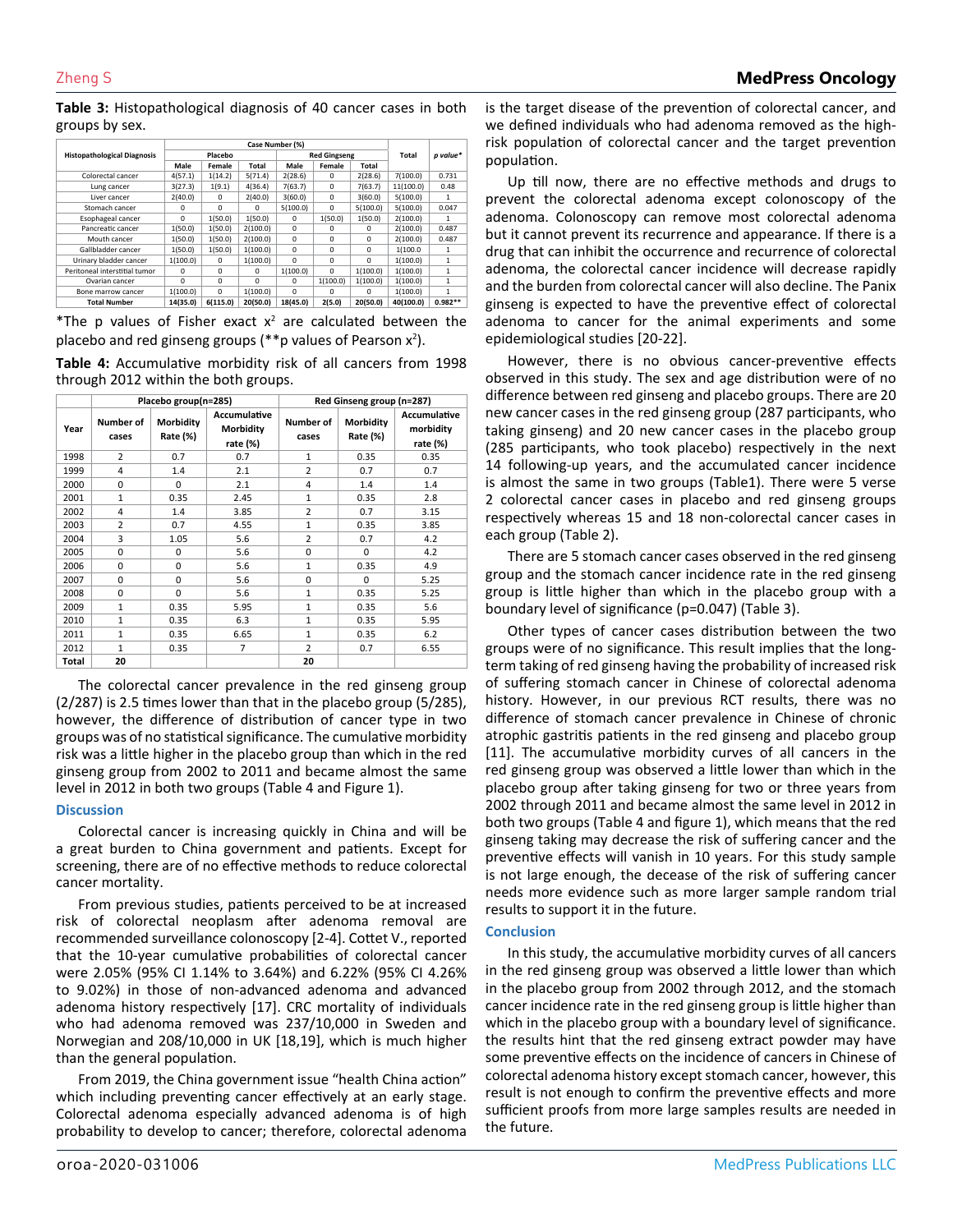**Table 3:** Histopathological diagnosis of 40 cancer cases in both groups by sex.

|                                    | Case Number (%) |          |                     |          |          |          |           |              |
|------------------------------------|-----------------|----------|---------------------|----------|----------|----------|-----------|--------------|
| <b>Histopathological Diagnosis</b> | Placebo         |          | <b>Red Gingseng</b> |          |          | Total    | p value*  |              |
|                                    | Male            | Female   | Total               | Male     | Female   | Total    |           |              |
| Colorectal cancer                  | 4(57.1)         | 1(14.2)  | 5(71.4)             | 2(28.6)  | 0        | 2(28.6)  | 7(100.0)  | 0.731        |
| Lung cancer                        | 3(27.3)         | 1(9.1)   | 4(36.4)             | 7(63.7)  | 0        | 7(63.7)  | 11(100.0) | 0.48         |
| Liver cancer                       | 2(40.0)         | 0        | 2(40.0)             | 3(60.0)  | 0        | 3(60.0)  | 5(100.0)  | 1            |
| Stomach cancer                     | 0               | $\Omega$ | $\Omega$            | 5(100.0) | $\Omega$ | 5(100.0) | 5(100.0)  | 0.047        |
| Esophageal cancer                  | $\Omega$        | 1(50.0)  | 1(50.0)             | 0        | 1(50.0)  | 1(50.0)  | 2(100.0)  | 1            |
| Pancreatic cancer                  | 1(50.0)         | 1(50.0)  | 2(100.0)            | $\Omega$ | 0        | $\Omega$ | 2(100.0)  | 0.487        |
| Mouth cancer                       | 1(50.0)         | 1(50.0)  | 2(100.0)            | 0        | $\Omega$ | $\Omega$ | 2(100.0)  | 0.487        |
| Gallbladder cancer                 | 1(50.0)         | 1(50.0)  | 1(100.0)            | 0        | 0        | 0        | 1(100.0   | 1            |
| Urinary bladder cancer             | 1(100.0)        | $\Omega$ | 1(100.0)            | $\Omega$ | 0        | $\Omega$ | 1(100.0)  | 1            |
| Peritoneal interstitial tumor      | $\Omega$        | $\Omega$ | $\Omega$            | 1(100.0) | $\Omega$ | 1(100.0) | 1(100.0)  | $\mathbf{1}$ |
| Ovarian cancer                     | 0               | 0        | $\Omega$            | $\Omega$ | 1(100.0) | 1(100.0) | 1(100.0)  | $\mathbf{1}$ |
| Bone marrow cancer                 | 1(100.0)        | $\Omega$ | 1(100.0)            | $\Omega$ | 0        | 0        | 1(100.0)  | 1            |
| <b>Total Number</b>                | 14(35.0)        | 6(115.0) | 20(50.0)            | 18(45.0) | 2(5.0)   | 20(50.0) | 40(100.0) | $0.982**$    |

\*The p values of Fisher exact  $x^2$  are calculated between the placebo and red ginseng groups (\*\*p values of Pearson  $x^2$ ).

**Table 4:** Accumulative morbidity risk of all cancers from 1998 through 2012 within the both groups.

|       | Placebo group(n=285) |                       | Red Ginseng group (n=287)                    |                    |                       |                                              |
|-------|----------------------|-----------------------|----------------------------------------------|--------------------|-----------------------|----------------------------------------------|
| Year  | Number of<br>cases   | Morbidity<br>Rate (%) | <b>Accumulative</b><br>Morbidity<br>rate (%) | Number of<br>cases | Morbidity<br>Rate (%) | <b>Accumulative</b><br>morbidity<br>rate (%) |
| 1998  | $\overline{2}$       | 0.7                   | 0.7                                          | 1                  | 0.35                  | 0.35                                         |
| 1999  | 4                    | 1.4                   | 2.1                                          | $\overline{2}$     | 0.7                   | 0.7                                          |
| 2000  | 0                    | $\Omega$              | 2.1                                          | 4                  | 1.4                   | 1.4                                          |
| 2001  | $\mathbf{1}$         | 0.35                  | 2.45                                         | 1                  | 0.35                  | 2.8                                          |
| 2002  | 4                    | 1.4                   | 3.85                                         | $\overline{2}$     | 0.7                   | 3.15                                         |
| 2003  | $\overline{2}$       | 0.7                   | 4.55                                         | $\mathbf{1}$       | 0.35                  | 3.85                                         |
| 2004  | 3                    | 1.05                  | 5.6                                          | $\overline{2}$     | 0.7                   | 4.2                                          |
| 2005  | 0                    | 0                     | 5.6                                          | $\Omega$           | $\Omega$              | 4.2                                          |
| 2006  | $\Omega$             | $\Omega$              | 5.6                                          | $\mathbf{1}$       | 0.35                  | 4.9                                          |
| 2007  | $\Omega$             | 0                     | 5.6                                          | $\Omega$           | $\Omega$              | 5.25                                         |
| 2008  | $\Omega$             | $\Omega$              | 5.6                                          | $\mathbf{1}$       | 0.35                  | 5.25                                         |
| 2009  | $\mathbf{1}$         | 0.35                  | 5.95                                         | $\mathbf{1}$       | 0.35                  | 5.6                                          |
| 2010  | $\mathbf{1}$         | 0.35                  | 6.3                                          | $\mathbf{1}$       | 0.35                  | 5.95                                         |
| 2011  | $\mathbf{1}$         | 0.35                  | 6.65                                         | 1                  | 0.35                  | 6.2                                          |
| 2012  | $\mathbf{1}$         | 0.35                  | $\overline{7}$                               | $\overline{2}$     | 0.7                   | 6.55                                         |
| Total | 20                   |                       |                                              | 20                 |                       |                                              |

The colorectal cancer prevalence in the red ginseng group (2/287) is 2.5 times lower than that in the placebo group (5/285), however, the difference of distribution of cancer type in two groups was of no statistical significance. The cumulative morbidity risk was a little higher in the placebo group than which in the red ginseng group from 2002 to 2011 and became almost the same level in 2012 in both two groups (Table 4 and Figure 1).

# **Discussion**

Colorectal cancer is increasing quickly in China and will be a great burden to China government and patients. Except for screening, there are of no effective methods to reduce colorectal cancer mortality.

From previous studies, patients perceived to be at increased risk of colorectal neoplasm after adenoma removal are recommended surveillance colonoscopy [2-4]. Cottet V., reported that the 10-year cumulative probabilities of colorectal cancer were 2.05% (95% CI 1.14% to 3.64%) and 6.22% (95% CI 4.26% to 9.02%) in those of non-advanced adenoma and advanced adenoma history respectively [17]. CRC mortality of individuals who had adenoma removed was 237/10,000 in Sweden and Norwegian and 208/10,000 in UK [18,19], which is much higher than the general population.

From 2019, the China government issue "health China action" which including preventing cancer effectively at an early stage. Colorectal adenoma especially advanced adenoma is of high probability to develop to cancer; therefore, colorectal adenoma is the target disease of the prevention of colorectal cancer, and we defined individuals who had adenoma removed as the highrisk population of colorectal cancer and the target prevention population.

Up till now, there are no effective methods and drugs to prevent the colorectal adenoma except colonoscopy of the adenoma. Colonoscopy can remove most colorectal adenoma but it cannot prevent its recurrence and appearance. If there is a drug that can inhibit the occurrence and recurrence of colorectal adenoma, the colorectal cancer incidence will decrease rapidly and the burden from colorectal cancer will also decline. The Panix ginseng is expected to have the preventive effect of colorectal adenoma to cancer for the animal experiments and some epidemiological studies [20-22].

However, there is no obvious cancer-preventive effects observed in this study. The sex and age distribution were of no difference between red ginseng and placebo groups. There are 20 new cancer cases in the red ginseng group (287 participants, who taking ginseng) and 20 new cancer cases in the placebo group (285 participants, who took placebo) respectively in the next 14 following-up years, and the accumulated cancer incidence is almost the same in two groups (Table1). There were 5 verse 2 colorectal cancer cases in placebo and red ginseng groups respectively whereas 15 and 18 non-colorectal cancer cases in each group (Table 2).

There are 5 stomach cancer cases observed in the red ginseng group and the stomach cancer incidence rate in the red ginseng group is little higher than which in the placebo group with a boundary level of significance (p=0.047) (Table 3).

Other types of cancer cases distribution between the two groups were of no significance. This result implies that the longterm taking of red ginseng having the probability of increased risk of suffering stomach cancer in Chinese of colorectal adenoma history. However, in our previous RCT results, there was no difference of stomach cancer prevalence in Chinese of chronic atrophic gastritis patients in the red ginseng and placebo group [11]. The accumulative morbidity curves of all cancers in the red ginseng group was observed a little lower than which in the placebo group after taking ginseng for two or three years from 2002 through 2011 and became almost the same level in 2012 in both two groups (Table 4 and figure 1), which means that the red ginseng taking may decrease the risk of suffering cancer and the preventive effects will vanish in 10 years. For this study sample is not large enough, the decease of the risk of suffering cancer needs more evidence such as more larger sample random trial results to support it in the future.

# **Conclusion**

In this study, the accumulative morbidity curves of all cancers in the red ginseng group was observed a little lower than which in the placebo group from 2002 through 2012, and the stomach cancer incidence rate in the red ginseng group is little higher than which in the placebo group with a boundary level of significance. the results hint that the red ginseng extract powder may have some preventive effects on the incidence of cancers in Chinese of colorectal adenoma history except stomach cancer, however, this result is not enough to confirm the preventive effects and more sufficient proofs from more large samples results are needed in the future.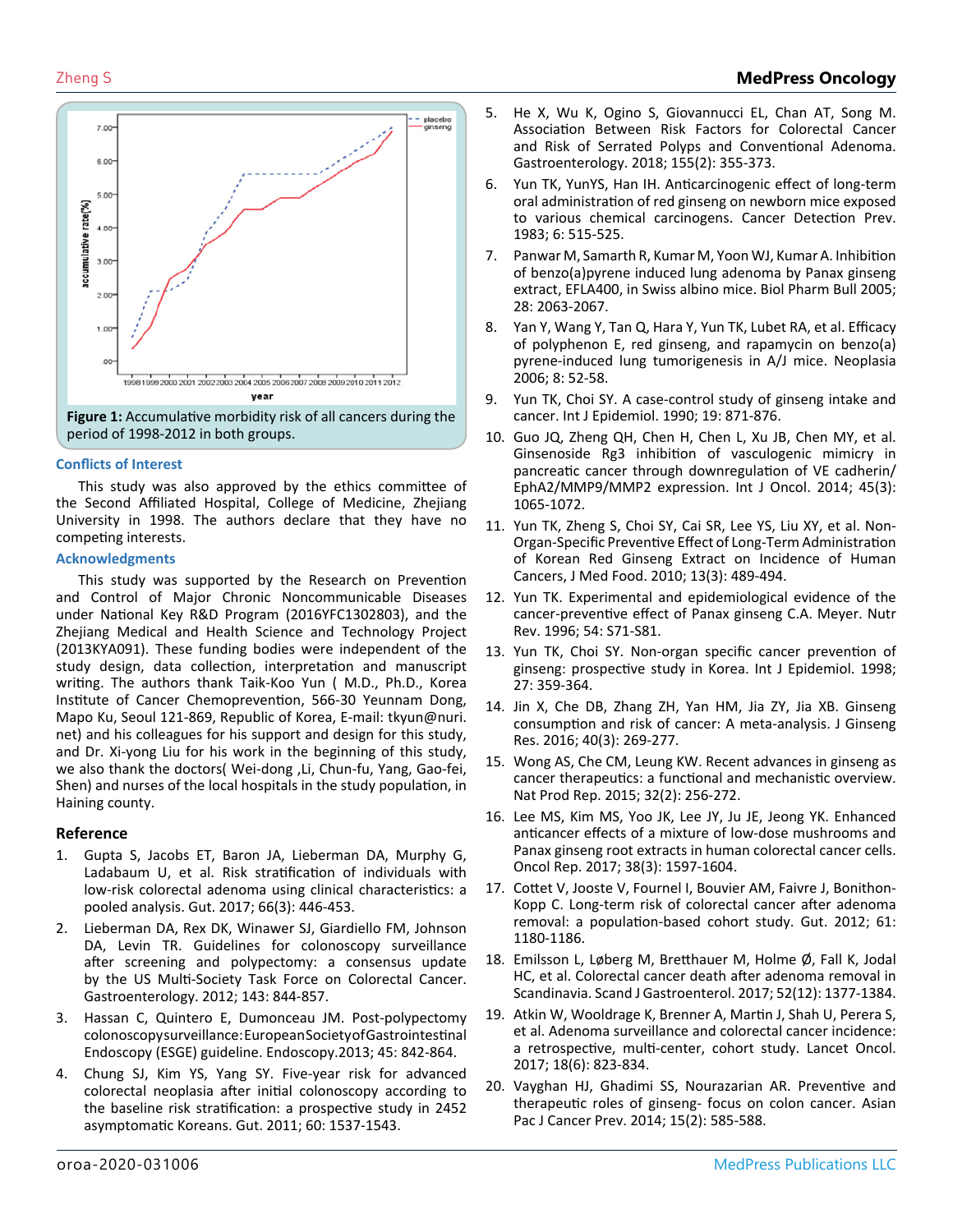

**Figure 1:** Accumulative morbidity risk of all cancers during the period of 1998-2012 in both groups.

## **Conflicts of Interest**

This study was also approved by the ethics committee of the Second Affiliated Hospital, College of Medicine, Zhejiang University in 1998. The authors declare that they have no competing interests.

## **Acknowledgments**

This study was supported by the Research on Prevention and Control of Major Chronic Noncommunicable Diseases under National Key R&D Program (2016YFC1302803), and the Zhejiang Medical and Health Science and Technology Project (2013KYA091). These funding bodies were independent of the study design, data collection, interpretation and manuscript writing. The authors thank Taik-Koo Yun ( M.D., Ph.D., Korea Institute of Cancer Chemoprevention, 566-30 Yeunnam Dong, Mapo Ku, Seoul 121-869, Republic of Korea, E-mail: tkyun@nuri. net) and his colleagues for his support and design for this study, and Dr. Xi-yong Liu for his work in the beginning of this study, we also thank the doctors( Wei-dong , Li, Chun-fu, Yang, Gao-fei, Shen) and nurses of the local hospitals in the study population, in Haining county.

# **Reference**

- 1. [Gupta S, Jacobs ET, Baron JA, Lieberman DA, Murphy G,](https://www.ncbi.nlm.nih.gov/pubmed/26658145) [Ladabaum U, et al. Risk stratification of individuals with](https://www.ncbi.nlm.nih.gov/pubmed/26658145)  [low-risk colorectal adenoma using clinical characteristics: a](https://www.ncbi.nlm.nih.gov/pubmed/26658145)  [pooled analysis. Gut. 2017; 66\(3\): 446-453.](https://www.ncbi.nlm.nih.gov/pubmed/26658145)
- 2. [Lieberman DA, Rex DK, Winawer SJ, Giardiello FM, Johnson](https://www.ncbi.nlm.nih.gov/pubmed/22763141)  [DA, Levin TR. Guidelines for colonoscopy surveillance](https://www.ncbi.nlm.nih.gov/pubmed/22763141)  [after screening and polypectomy: a consensus update](https://www.ncbi.nlm.nih.gov/pubmed/22763141)  [by the US Multi-Society Task Force on Colorectal Cancer.](https://www.ncbi.nlm.nih.gov/pubmed/22763141)  [Gastroenterology. 2012; 143: 844-857.](https://www.ncbi.nlm.nih.gov/pubmed/22763141)
- 3. [Hassan C, Quintero E, Dumonceau JM. Post-polypectomy](https://www.ncbi.nlm.nih.gov/pubmed/24030244)  [colonoscopy surveillance: European Society of Gastrointestinal](https://www.ncbi.nlm.nih.gov/pubmed/24030244)  [Endoscopy \(ESGE\) guideline. Endoscopy.2013; 45: 842-864.](https://www.ncbi.nlm.nih.gov/pubmed/24030244)
- 4. [Chung SJ, Kim YS, Yang SY. Five-year risk for advanced](https://www.ncbi.nlm.nih.gov/pubmed/21427200)  [colorectal neoplasia after initial colonoscopy according to](https://www.ncbi.nlm.nih.gov/pubmed/21427200)  [the baseline risk stratification: a prospective study in 2452](https://www.ncbi.nlm.nih.gov/pubmed/21427200) [asymptomatic Koreans. Gut. 2011; 60: 1537-1543.](https://www.ncbi.nlm.nih.gov/pubmed/21427200)
- 5. [He X, Wu K, Ogino S, Giovannucci EL, Chan AT, Song M.](https://www.ncbi.nlm.nih.gov/pubmed/29702117)  [Association Between Risk Factors for Colorectal Cancer](https://www.ncbi.nlm.nih.gov/pubmed/29702117) [and Risk of Serrated Polyps and Conventional Adenoma.](https://www.ncbi.nlm.nih.gov/pubmed/29702117)  [Gastroenterology. 2018; 155\(2\): 355-373.](https://www.ncbi.nlm.nih.gov/pubmed/29702117)
- 6. [Yun TK, YunYS, Han IH. Anticarcinogenic effect of long-term](https://www.ncbi.nlm.nih.gov/pubmed/6420059)  [oral administration of red ginseng on newborn mice exposed](https://www.ncbi.nlm.nih.gov/pubmed/6420059)  [to various chemical carcinogens. Cancer Detection Prev.](https://www.ncbi.nlm.nih.gov/pubmed/6420059) [1983; 6: 515-525.](https://www.ncbi.nlm.nih.gov/pubmed/6420059)
- 7. [Panwar M, Samarth R, Kumar M, Yoon WJ, Kumar A. Inhibition](https://europepmc.org/article/med/16272690)  [of benzo\(a\)pyrene induced lung adenoma by Panax ginseng](https://europepmc.org/article/med/16272690)  [extract, EFLA400, in Swiss albino mice. Biol Pharm Bull 2005;](https://europepmc.org/article/med/16272690) [28: 2063-2067.](https://europepmc.org/article/med/16272690)
- 8. [Yan Y, Wang Y, Tan Q, Hara Y, Yun TK, Lubet RA, et al. Efficacy](https://www.ncbi.nlm.nih.gov/pubmed/16533426) [of polyphenon E, red ginseng, and rapamycin on benzo\(a\)](https://www.ncbi.nlm.nih.gov/pubmed/16533426) [pyrene-induced lung tumorigenesis in A/J mice. Neoplasia](https://www.ncbi.nlm.nih.gov/pubmed/16533426)  [2006; 8: 52-58.](https://www.ncbi.nlm.nih.gov/pubmed/16533426)
- 9. [Yun TK, Choi SY. A case-control study of ginseng intake and](https://www.ncbi.nlm.nih.gov/pubmed/2084014)  [cancer. Int J Epidemiol. 1990; 19: 871-876.](https://www.ncbi.nlm.nih.gov/pubmed/2084014)
- 10. [Guo JQ, Zheng QH, Chen H, Chen L, Xu JB, Chen MY, et al.](https://www.ncbi.nlm.nih.gov/pubmed/24938458)  [Ginsenoside Rg3 inhibition of vasculogenic mimicry in](https://www.ncbi.nlm.nih.gov/pubmed/24938458)  [pancreatic cancer through downregulation of VE cadherin/](https://www.ncbi.nlm.nih.gov/pubmed/24938458)  [EphA2/MMP9/MMP2 expression. Int J Oncol. 2014; 45\(3\):](https://www.ncbi.nlm.nih.gov/pubmed/24938458) [1065-1072.](https://www.ncbi.nlm.nih.gov/pubmed/24938458)
- 11. [Yun TK, Zheng S, Choi SY, Cai SR, Lee YS, Liu XY, et al. Non-](https://www.ncbi.nlm.nih.gov/pubmed/20521975)[Organ-Specific Preventive Effect of Long-Term Administration](https://www.ncbi.nlm.nih.gov/pubmed/20521975)  [of Korean Red Ginseng Extract on Incidence of Human](https://www.ncbi.nlm.nih.gov/pubmed/20521975)  [Cancers, J Med Food. 2010; 13\(3\): 489-494.](https://www.ncbi.nlm.nih.gov/pubmed/20521975)
- 12. [Yun TK. Experimental and epidemiological evidence of the](https://www.ncbi.nlm.nih.gov/pubmed/9110579)  [cancer-preventive effect of Panax ginseng C.A. Meyer. Nutr](https://www.ncbi.nlm.nih.gov/pubmed/9110579) [Rev. 1996; 54: S71-S81.](https://www.ncbi.nlm.nih.gov/pubmed/9110579)
- 13. [Yun TK, Choi SY. Non-organ specific cancer prevention of](https://www.ncbi.nlm.nih.gov/pubmed/9698120)  [ginseng: prospective study in Korea. Int J Epidemiol. 1998;](https://www.ncbi.nlm.nih.gov/pubmed/9698120) [27: 359-364.](https://www.ncbi.nlm.nih.gov/pubmed/9698120)
- 14. [Jin X, Che DB, Zhang ZH, Yan HM, Jia ZY, Jia XB. Ginseng](https://www.ncbi.nlm.nih.gov/pmc/articles/PMC5005362/)  [consumption and risk of cancer: A meta-analysis. J Ginseng](https://www.ncbi.nlm.nih.gov/pmc/articles/PMC5005362/)  [Res. 2016; 40\(3\): 269-277.](https://www.ncbi.nlm.nih.gov/pmc/articles/PMC5005362/)
- 15. [Wong AS, Che CM, Leung KW. Recent advances in ginseng as](https://www.ncbi.nlm.nih.gov/pubmed/25347695) [cancer therapeutics: a functional and mechanistic overview.](https://www.ncbi.nlm.nih.gov/pubmed/25347695) [Nat Prod Rep. 2015; 32\(2\): 256-272.](https://www.ncbi.nlm.nih.gov/pubmed/25347695)
- 16. Lee MS, Kim MS, Yoo JK, Lee JY, Ju JE, Jeong YK. Enhanced anticancer effects of a mixture of low-dose mushrooms and Panax ginseng root extracts in human colorectal cancer cells. Oncol Rep. 2017; 38(3): 1597-1604.
- 17. [Cottet V, Jooste V, Fournel I, Bouvier AM, Faivre J, Bonithon-](https://www.ncbi.nlm.nih.gov/pubmed/22110052)[Kopp C. Long-term risk of colorectal cancer after adenoma](https://www.ncbi.nlm.nih.gov/pubmed/22110052)  [removal: a population-based cohort study. Gut. 2012; 61:](https://www.ncbi.nlm.nih.gov/pubmed/22110052) [1180-1186.](https://www.ncbi.nlm.nih.gov/pubmed/22110052)
- 18. [Emilsson L, Løberg M, Bretthauer M, Holme Ø, Fall K, Jodal](https://www.ncbi.nlm.nih.gov/pubmed/28906163)  [HC, et al. Colorectal cancer death after adenoma removal in](https://www.ncbi.nlm.nih.gov/pubmed/28906163)  [Scandinavia. Scand J Gastroenterol. 2017; 52\(12\): 1377-1384.](https://www.ncbi.nlm.nih.gov/pubmed/28906163)
- 19. Atkin W, Wooldrage K, Brenner A, Martin J, Shah U, Perera S, et al. Adenoma surveillance and colorectal cancer incidence: a retrospective, multi-center, cohort study. Lancet Oncol. 2017; 18(6): 823-834.
- 20. [Vayghan HJ, Ghadimi SS, Nourazarian AR. Preventive and](https://www.ncbi.nlm.nih.gov/pubmed/24568461)  [therapeutic roles of ginseng- focus on colon cancer. Asian](https://www.ncbi.nlm.nih.gov/pubmed/24568461)  [Pac J Cancer Prev. 2014; 15\(2\): 585-588.](https://www.ncbi.nlm.nih.gov/pubmed/24568461)